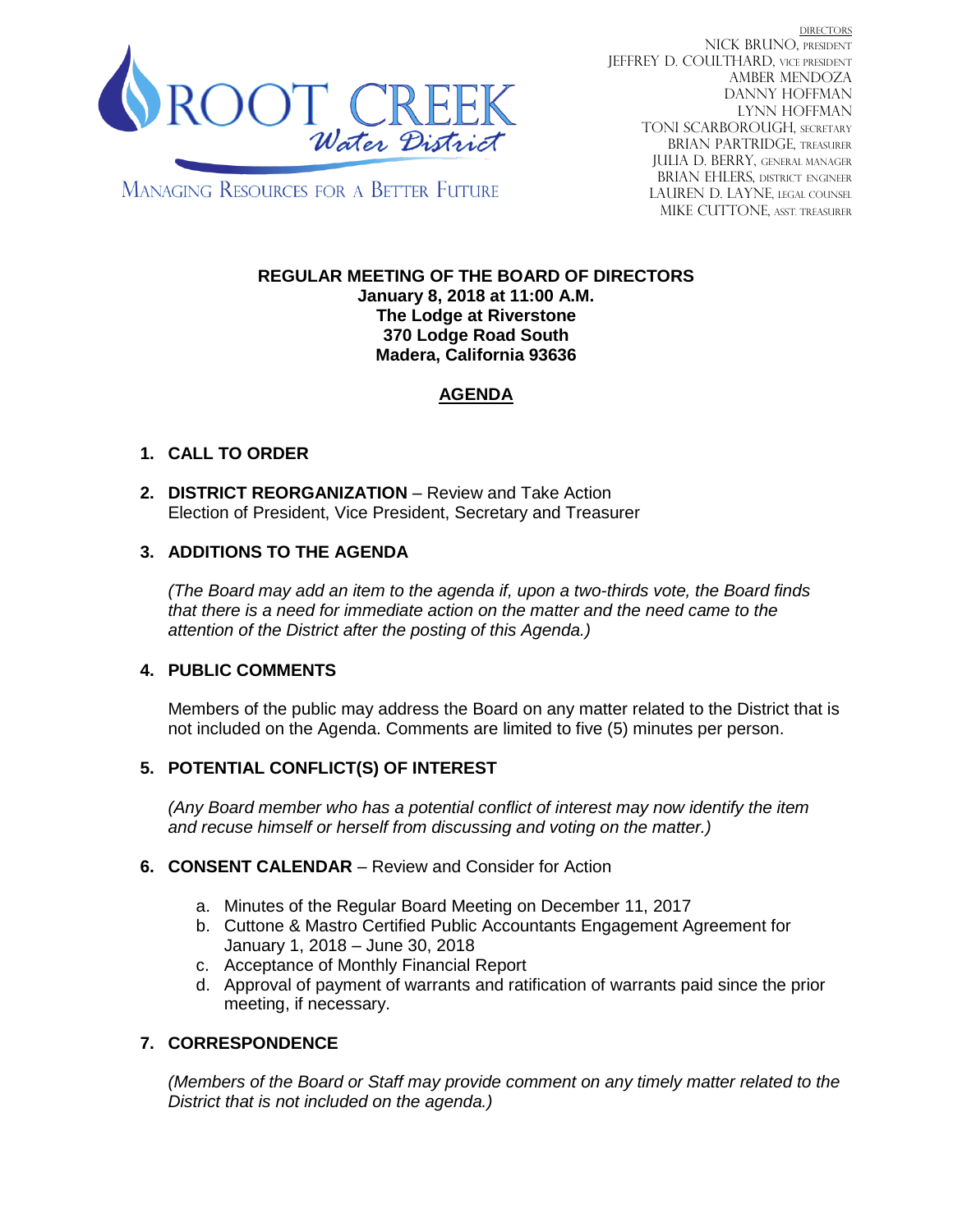

**DIRECTORS** NICK BRUNO, PRESIDENT JEFFREY D. COULTHARD, Vice President AMBER MENDOZA DANNY HOFFMAN LYNN HOFFMAN TONI SCARBOROUGH, SECRETARY BRIAN PARTRIDGE, TREASURER JULIA D. BERRY, GENERAL MANAGER BRIAN EHLERS, DISTRICT ENGINEER LAUREN D. LAYNE, LEGAL COUNSEL MIKE CUTTONE, Asst. treasurer

**MANAGING RESOURCES FOR A BETTER FUTURE** 

#### **REGULAR MEETING OF THE BOARD OF DIRECTORS January 8, 2018 at 11:00 A.M. The Lodge at Riverstone 370 Lodge Road South Madera, California 93636**

# **AGENDA**

# **1. CALL TO ORDER**

**2. DISTRICT REORGANIZATION** – Review and Take Action Election of President, Vice President, Secretary and Treasurer

## **3. ADDITIONS TO THE AGENDA**

*(The Board may add an item to the agenda if, upon a two-thirds vote, the Board finds that there is a need for immediate action on the matter and the need came to the attention of the District after the posting of this Agenda.)*

## **4. PUBLIC COMMENTS**

Members of the public may address the Board on any matter related to the District that is not included on the Agenda. Comments are limited to five (5) minutes per person.

## **5. POTENTIAL CONFLICT(S) OF INTEREST**

*(Any Board member who has a potential conflict of interest may now identify the item and recuse himself or herself from discussing and voting on the matter.)*

### **6. CONSENT CALENDAR** – Review and Consider for Action

- a. Minutes of the Regular Board Meeting on December 11, 2017
- b. Cuttone & Mastro Certified Public Accountants Engagement Agreement for January 1, 2018 – June 30, 2018
- c. Acceptance of Monthly Financial Report
- d. Approval of payment of warrants and ratification of warrants paid since the prior meeting, if necessary.

## **7. CORRESPONDENCE**

*(Members of the Board or Staff may provide comment on any timely matter related to the District that is not included on the agenda.)*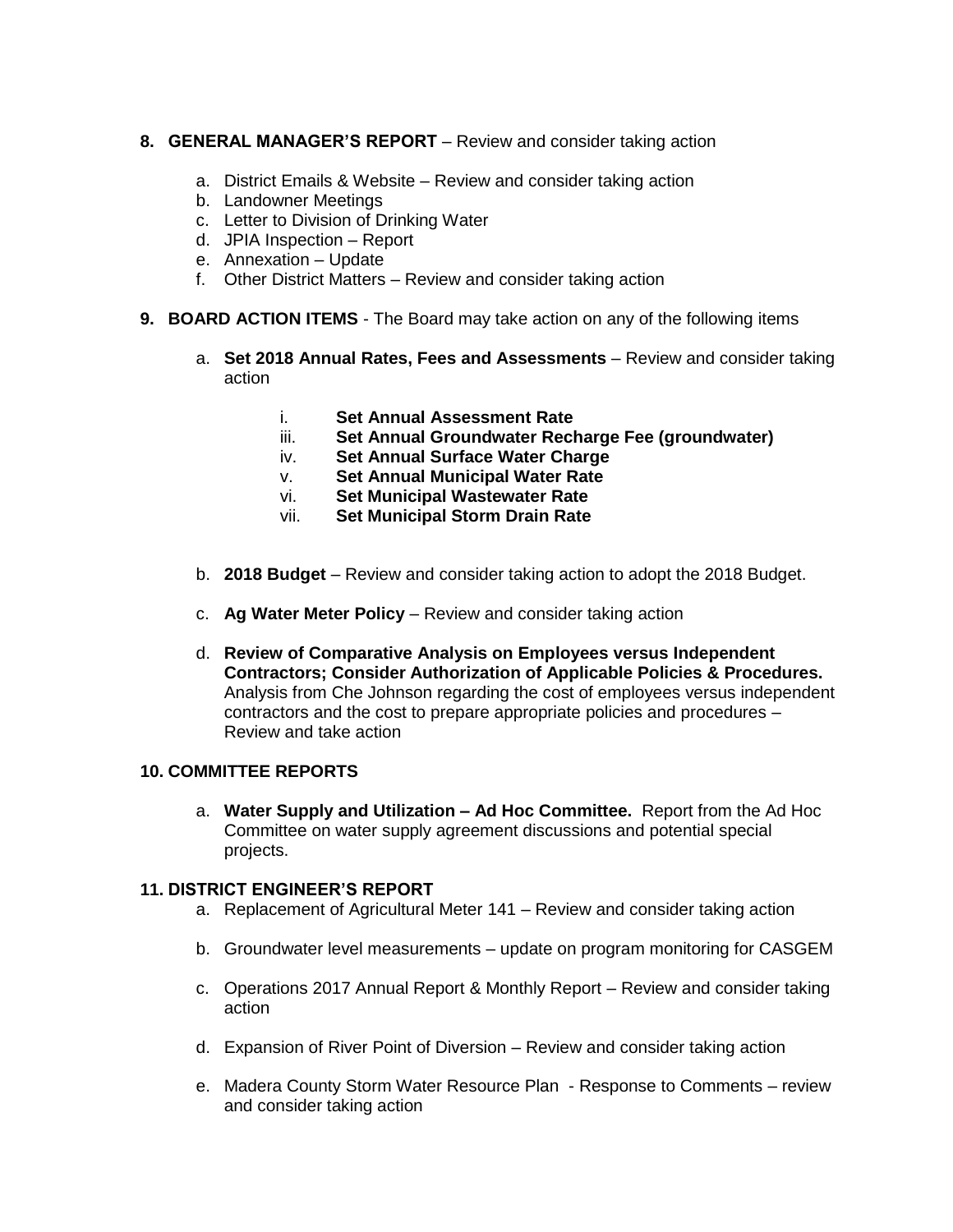#### **8. GENERAL MANAGER'S REPORT** – Review and consider taking action

- a. District Emails & Website Review and consider taking action
- b. Landowner Meetings
- c. Letter to Division of Drinking Water
- d. JPIA Inspection Report
- e. Annexation Update
- f. Other District Matters Review and consider taking action

#### **9. BOARD ACTION ITEMS** - The Board may take action on any of the following items

- a. **Set 2018 Annual Rates, Fees and Assessments** Review and consider taking action
	- i. **Set Annual Assessment Rate**
	- iii. **Set Annual Groundwater Recharge Fee (groundwater)**
	- iv. **Set Annual Surface Water Charge**
	- v. **Set Annual Municipal Water Rate**
	- vi. **Set Municipal Wastewater Rate**
	- vii. **Set Municipal Storm Drain Rate**
- b. **2018 Budget** Review and consider taking action to adopt the 2018 Budget.
- c. **Ag Water Meter Policy** Review and consider taking action
- d. **Review of Comparative Analysis on Employees versus Independent Contractors; Consider Authorization of Applicable Policies & Procedures.** Analysis from Che Johnson regarding the cost of employees versus independent contractors and the cost to prepare appropriate policies and procedures – Review and take action

### **10. COMMITTEE REPORTS**

a. **Water Supply and Utilization – Ad Hoc Committee.** Report from the Ad Hoc Committee on water supply agreement discussions and potential special projects.

#### **11. DISTRICT ENGINEER'S REPORT**

- a. Replacement of Agricultural Meter 141 Review and consider taking action
- b. Groundwater level measurements update on program monitoring for CASGEM
- c. Operations 2017 Annual Report & Monthly Report Review and consider taking action
- d. Expansion of River Point of Diversion Review and consider taking action
- e. Madera County Storm Water Resource Plan Response to Comments review and consider taking action